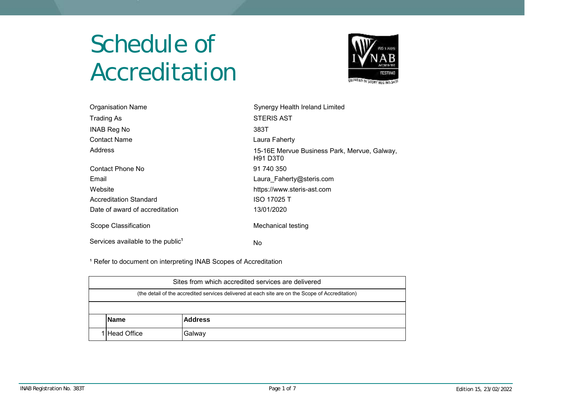## Schedule of Accreditation



| <b>Organisation Name</b>                      | Synergy Health Ireland Limited                           |
|-----------------------------------------------|----------------------------------------------------------|
| <b>Trading As</b>                             | <b>STERIS AST</b>                                        |
| <b>INAB Reg No</b>                            | 383T                                                     |
| <b>Contact Name</b>                           | Laura Faherty                                            |
| Address                                       | 15-16E Mervue Business Park, Mervue, Galway,<br>H91 D3T0 |
| Contact Phone No                              | 91 740 350                                               |
| Email                                         | Laura Faherty@steris.com                                 |
| Website                                       | https://www.steris-ast.com                               |
| <b>Accreditation Standard</b>                 | <b>ISO 17025 T</b>                                       |
| Date of award of accreditation                | 13/01/2020                                               |
| Scope Classification                          | Mechanical testing                                       |
| Services available to the public <sup>1</sup> | No                                                       |

<sup>1</sup> Refer to document on interpreting INAB Scopes of Accreditation

| Sites from which accredited services are delivered                                               |  |  |  |  |
|--------------------------------------------------------------------------------------------------|--|--|--|--|
| (the detail of the accredited services delivered at each site are on the Scope of Accreditation) |  |  |  |  |
|                                                                                                  |  |  |  |  |
| <b>Address</b><br><b>Name</b>                                                                    |  |  |  |  |
| 1 Head Office<br>Galway                                                                          |  |  |  |  |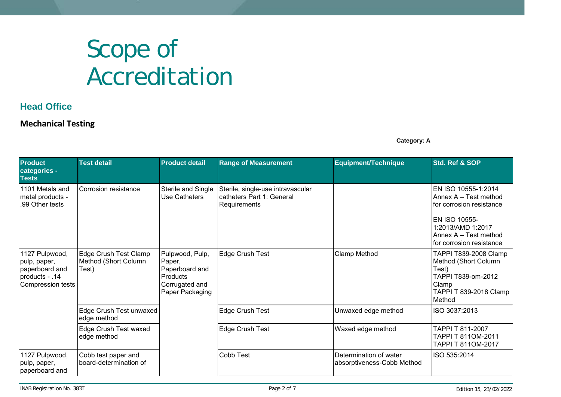## Scope of Accreditation

## **Head Office**

## **Mechanical Testing**

**Category: A**

| <b>Product</b><br>categories -<br><b>Tests</b>                                          | <b>Test detail</b>                                     | <b>Product detail</b>                                                                        | <b>Range of Measurement</b>                                                    | <b>Equipment/Technique</b>                           | Std. Ref & SOP                                                                                                                                                      |
|-----------------------------------------------------------------------------------------|--------------------------------------------------------|----------------------------------------------------------------------------------------------|--------------------------------------------------------------------------------|------------------------------------------------------|---------------------------------------------------------------------------------------------------------------------------------------------------------------------|
| 1101 Metals and<br>metal products -<br>.99 Other tests                                  | Corrosion resistance                                   | Sterile and Single<br>Use Catheters                                                          | Sterile, single-use intravascular<br>catheters Part 1: General<br>Requirements |                                                      | EN ISO 10555-1:2014<br>Annex A - Test method<br>for corrosion resistance<br>EN ISO 10555-<br>1:2013/AMD 1:2017<br>Annex A - Test method<br>for corrosion resistance |
| 1127 Pulpwood,<br>pulp, paper,<br>paperboard and<br>products - .14<br>Compression tests | Edge Crush Test Clamp<br>Method (Short Column<br>Test) | Pulpwood, Pulp,<br>Paper,<br>Paperboard and<br>Products<br>Corrugated and<br>Paper Packaging | <b>Edge Crush Test</b>                                                         | Clamp Method                                         | TAPPI T839-2008 Clamp<br>Method (Short Column<br>Test)<br>TAPPI T839-om-2012<br>Clamp<br>TAPPI T 839-2018 Clamp<br>Method                                           |
|                                                                                         | Edge Crush Test unwaxed<br>edge method                 |                                                                                              | Edge Crush Test                                                                | Unwaxed edge method                                  | ISO 3037:2013                                                                                                                                                       |
|                                                                                         | Edge Crush Test waxed<br>edge method                   |                                                                                              | Edge Crush Test                                                                | Waxed edge method                                    | TAPPI T 811-2007<br>TAPPI T 811OM-2011<br>TAPPI T 811OM-2017                                                                                                        |
| 1127 Pulpwood,<br>pulp, paper,<br>paperboard and                                        | Cobb test paper and<br>board-determination of          |                                                                                              | <b>Cobb Test</b>                                                               | Determination of water<br>absorptiveness-Cobb Method | ISO 535:2014                                                                                                                                                        |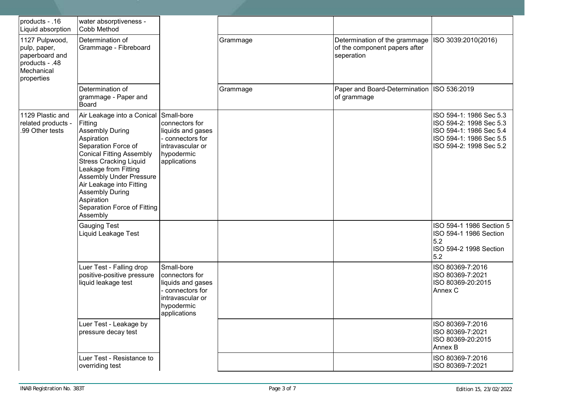| products - .16<br>Liquid absorption                                                            | water absorptiveness -<br>Cobb Method                                                                                                                                                                                                                                                                                                             |                                                                                                                       |          |                                                                              |                                                                                                                                     |
|------------------------------------------------------------------------------------------------|---------------------------------------------------------------------------------------------------------------------------------------------------------------------------------------------------------------------------------------------------------------------------------------------------------------------------------------------------|-----------------------------------------------------------------------------------------------------------------------|----------|------------------------------------------------------------------------------|-------------------------------------------------------------------------------------------------------------------------------------|
| 1127 Pulpwood,<br>pulp, paper,<br>paperboard and<br>products - .48<br>Mechanical<br>properties | Determination of<br>Grammage - Fibreboard                                                                                                                                                                                                                                                                                                         |                                                                                                                       | Grammage | Determination of the grammage<br>of the component papers after<br>seperation | ISO 3039:2010(2016)                                                                                                                 |
|                                                                                                | Determination of<br>grammage - Paper and<br>Board                                                                                                                                                                                                                                                                                                 |                                                                                                                       | Grammage | Paper and Board-Determination   ISO 536:2019<br>of grammage                  |                                                                                                                                     |
| 1129 Plastic and<br>related products -<br>.99 Other tests                                      | Air Leakage into a Conical<br>Fitting<br><b>Assembly During</b><br>Aspiration<br>Separation Force of<br><b>Conical Fitting Assembly</b><br><b>Stress Cracking Liquid</b><br>Leakage from Fitting<br><b>Assembly Under Pressure</b><br>Air Leakage into Fitting<br><b>Assembly During</b><br>Aspiration<br>Separation Force of Fitting<br>Assembly | Small-bore<br>connectors for<br>liquids and gases<br>connectors for<br>intravascular or<br>hypodermic<br>applications |          |                                                                              | ISO 594-1: 1986 Sec 5.3<br>ISO 594-2: 1998 Sec 5.3<br>ISO 594-1: 1986 Sec 5.4<br>ISO 594-1: 1986 Sec 5.5<br>ISO 594-2: 1998 Sec 5.2 |
|                                                                                                | <b>Gauging Test</b><br>Liquid Leakage Test                                                                                                                                                                                                                                                                                                        |                                                                                                                       |          |                                                                              | ISO 594-1 1986 Section 5<br>ISO 594-1 1986 Section<br>5.2<br>ISO 594-2 1998 Section<br>5.2                                          |
|                                                                                                | Luer Test - Falling drop<br>positive-positive pressure<br>liquid leakage test                                                                                                                                                                                                                                                                     | Small-bore<br>connectors for<br>liquids and gases<br>connectors for<br>intravascular or<br>hypodermic<br>applications |          |                                                                              | ISO 80369-7:2016<br>ISO 80369-7:2021<br>ISO 80369-20:2015<br>Annex C                                                                |
|                                                                                                | Luer Test - Leakage by<br>pressure decay test                                                                                                                                                                                                                                                                                                     |                                                                                                                       |          |                                                                              | ISO 80369-7:2016<br>ISO 80369-7:2021<br>ISO 80369-20:2015<br>Annex B                                                                |
|                                                                                                | Luer Test - Resistance to<br>overriding test                                                                                                                                                                                                                                                                                                      |                                                                                                                       |          |                                                                              | ISO 80369-7:2016<br>ISO 80369-7:2021                                                                                                |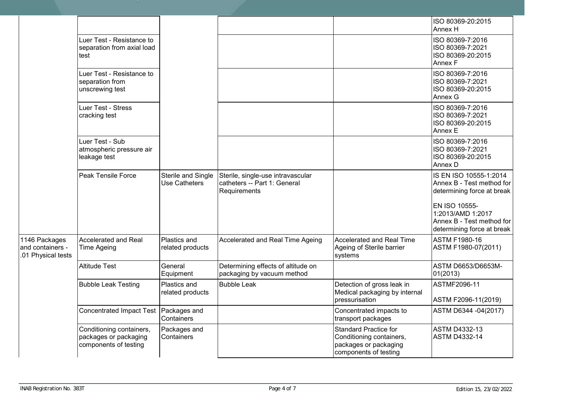|                                                         |                                                                            |                                            |                                                                                   |                                                                                                            | ISO 80369-20:2015<br>Annex H                                                                  |
|---------------------------------------------------------|----------------------------------------------------------------------------|--------------------------------------------|-----------------------------------------------------------------------------------|------------------------------------------------------------------------------------------------------------|-----------------------------------------------------------------------------------------------|
|                                                         | Luer Test - Resistance to<br>separation from axial load<br>test            |                                            |                                                                                   |                                                                                                            | ISO 80369-7:2016<br>ISO 80369-7:2021<br>ISO 80369-20:2015<br>Annex F                          |
|                                                         | Luer Test - Resistance to<br>separation from<br>unscrewing test            |                                            |                                                                                   |                                                                                                            | ISO 80369-7:2016<br>ISO 80369-7:2021<br>ISO 80369-20:2015<br>Annex G                          |
|                                                         | Luer Test - Stress<br>cracking test                                        |                                            |                                                                                   |                                                                                                            | ISO 80369-7:2016<br>ISO 80369-7:2021<br>ISO 80369-20:2015<br>Annex E                          |
|                                                         | Luer Test - Sub<br>atmospheric pressure air<br>leakage test                |                                            |                                                                                   |                                                                                                            | ISO 80369-7:2016<br>ISO 80369-7:2021<br>ISO 80369-20:2015<br>Annex D                          |
|                                                         | Peak Tensile Force                                                         | Sterile and Single<br><b>Use Catheters</b> | Sterile, single-use intravascular<br>catheters -- Part 1: General<br>Requirements |                                                                                                            | IS EN ISO 10555-1:2014<br>Annex B - Test method for<br>determining force at break             |
|                                                         |                                                                            |                                            |                                                                                   |                                                                                                            | EN ISO 10555-<br>1:2013/AMD 1:2017<br>Annex B - Test method for<br>determining force at break |
| 1146 Packages<br>and containers -<br>.01 Physical tests | <b>Accelerated and Real</b><br><b>Time Ageing</b>                          | Plastics and<br>related products           | Accelerated and Real Time Ageing                                                  | Accelerated and Real Time<br>Ageing of Sterile barrier<br>systems                                          | <b>ASTM F1980-16</b><br>ASTM F1980-07(2011)                                                   |
|                                                         | <b>Altitude Test</b>                                                       | General<br>Equipment                       | Determining effects of altitude on<br>packaging by vacuum method                  |                                                                                                            | ASTM D6653/D6653M-<br>01(2013)                                                                |
|                                                         | <b>Bubble Leak Testing</b>                                                 | Plastics and<br>related products           | <b>Bubble Leak</b>                                                                | Detection of gross leak in<br>Medical packaging by internal<br>pressurisation                              | ASTMF2096-11<br>ASTM F2096-11(2019)                                                           |
|                                                         | <b>Concentrated Impact Test</b>                                            | Packages and<br>Containers                 |                                                                                   | Concentrated impacts to<br>transport packages                                                              | ASTM D6344 -04(2017)                                                                          |
|                                                         | Conditioning containers,<br>packages or packaging<br>components of testing | Packages and<br>Containers                 |                                                                                   | <b>Standard Practice for</b><br>Conditioning containers,<br>packages or packaging<br>components of testing | <b>ASTM D4332-13</b><br><b>ASTM D4332-14</b>                                                  |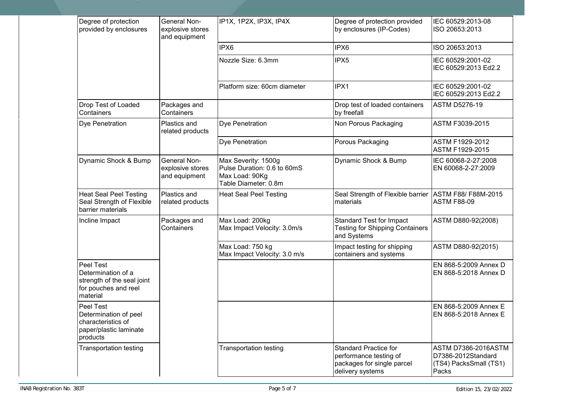| Degree of protection<br>provided by enclosures                                                    | <b>General Non-</b><br>explosive stores<br>and equipment | IP1X, 1P2X, IP3X, IP4X                                                                       | Degree of protection provided<br>by enclosures (IP-Codes)                                                | IEC 60529:2013-08<br>ISO 20653:2013                                                 |
|---------------------------------------------------------------------------------------------------|----------------------------------------------------------|----------------------------------------------------------------------------------------------|----------------------------------------------------------------------------------------------------------|-------------------------------------------------------------------------------------|
|                                                                                                   |                                                          | IPX6                                                                                         | IPX6                                                                                                     | ISO 20653:2013                                                                      |
|                                                                                                   |                                                          | Nozzle Size: 6.3mm                                                                           | IPX5                                                                                                     | IEC 60529:2001-02<br>IEC 60529:2013 Ed2.2                                           |
|                                                                                                   |                                                          | Platform size: 60cm diameter                                                                 | IPX1                                                                                                     | IEC 60529:2001-02<br>IEC 60529:2013 Ed2.2                                           |
| Drop Test of Loaded<br>Containers                                                                 | Packages and<br>Containers                               |                                                                                              | Drop test of loaded containers<br>by freefall                                                            | <b>ASTM D5276-19</b>                                                                |
| Dye Penetration                                                                                   | Plastics and<br>related products                         | Dye Penetration                                                                              | Non Porous Packaging                                                                                     | ASTM F3039-2015                                                                     |
|                                                                                                   |                                                          | Dye Penetration                                                                              | Porous Packaging                                                                                         | ASTM F1929-2012<br>ASTM F1929-2015                                                  |
| Dynamic Shock & Bump                                                                              | <b>General Non-</b><br>explosive stores<br>and equipment | Max Severity: 1500g<br>Pulse Duration: 0.6 to 60mS<br>Max Load: 90Kg<br>Table Diameter: 0.8m | Dynamic Shock & Bump                                                                                     | IEC 60068-2-27:2008<br>EN 60068-2-27:2009                                           |
| <b>Heat Seal Peel Testing</b><br>Seal Strength of Flexible<br>barrier materials                   | Plastics and<br>related products                         | <b>Heat Seal Peel Testing</b>                                                                | Seal Strength of Flexible barrier<br>materials                                                           | ASTM F88/F88M-2015<br><b>ASTM F88-09</b>                                            |
| Incline Impact                                                                                    | Packages and<br>Containers                               | Max Load: 200kg<br>Max Impact Velocity: 3.0m/s                                               | <b>Standard Test for Impact</b><br><b>Testing for Shipping Containers</b><br>and Systems                 | ASTM D880-92(2008)                                                                  |
|                                                                                                   |                                                          | Max Load: 750 kg<br>Max Impact Velocity: 3.0 m/s                                             | Impact testing for shipping<br>containers and systems                                                    | ASTM D880-92(2015)                                                                  |
| Peel Test<br>Determination of a<br>strength of the seal joint<br>for pouches and reel<br>material |                                                          |                                                                                              |                                                                                                          | EN 868-5:2009 Annex D<br>EN 868-5:2018 Annex D                                      |
| Peel Test<br>Determination of peel<br>characteristics of<br>paper/plastic laminate<br>products    |                                                          |                                                                                              |                                                                                                          | EN 868-5:2009 Annex E<br>EN 868-5:2018 Annex E                                      |
| <b>Transportation testing</b>                                                                     |                                                          | <b>Transportation testing</b>                                                                | <b>Standard Practice for</b><br>performance testing of<br>packages for single parcel<br>delivery systems | <b>ASTM D7386-2016ASTM</b><br>D7386-2012Standard<br>(TS4) PacksSmall (TS1)<br>Packs |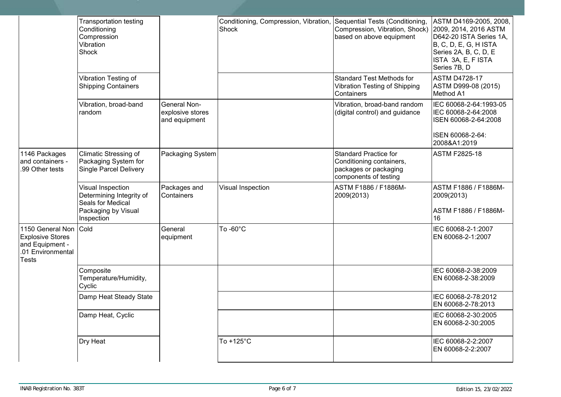|                                                                                                   | <b>Transportation testing</b><br>Conditioning<br>Compression<br>Vibration<br>Shock                      |                                                          | Conditioning, Compression, Vibration,<br>Shock | Sequential Tests (Conditioning,<br>Compression, Vibration, Shock)<br>based on above equipment              | ASTM D4169-2005, 2008,<br>2009, 2014, 2016 ASTM<br>D642-20 ISTA Series 1A,<br>B, C, D, E, G, H ISTA<br>Series 2A, B, C, D, E<br>ISTA 3A, E, F ISTA<br>Series 7B, D |
|---------------------------------------------------------------------------------------------------|---------------------------------------------------------------------------------------------------------|----------------------------------------------------------|------------------------------------------------|------------------------------------------------------------------------------------------------------------|--------------------------------------------------------------------------------------------------------------------------------------------------------------------|
|                                                                                                   | Vibration Testing of<br><b>Shipping Containers</b>                                                      |                                                          |                                                | <b>Standard Test Methods for</b><br><b>Vibration Testing of Shipping</b><br>Containers                     | <b>ASTM D4728-17</b><br>ASTM D999-08 (2015)<br>Method A1                                                                                                           |
|                                                                                                   | Vibration, broad-band<br>random                                                                         | <b>General Non-</b><br>explosive stores<br>and equipment |                                                | Vibration, broad-band random<br>(digital control) and guidance                                             | IEC 60068-2-64:1993-05<br>IEC 60068-2-64:2008<br>ISEN 60068-2-64:2008<br>ISEN 60068-2-64:<br>2008&A1:2019                                                          |
| 1146 Packages<br>and containers -<br>.99 Other tests                                              | <b>Climatic Stressing of</b><br>Packaging System for<br><b>Single Parcel Delivery</b>                   | Packaging System                                         |                                                | <b>Standard Practice for</b><br>Conditioning containers,<br>packages or packaging<br>components of testing | <b>ASTM F2825-18</b>                                                                                                                                               |
|                                                                                                   | Visual Inspection<br>Determining Integrity of<br>Seals for Medical<br>Packaging by Visual<br>Inspection | Packages and<br>Containers                               | Visual Inspection                              | ASTM F1886 / F1886M-<br>2009(2013)                                                                         | ASTM F1886 / F1886M-<br>2009(2013)<br>ASTM F1886 / F1886M-<br>16                                                                                                   |
| 1150 General Non Cold<br><b>Explosive Stores</b><br>and Equipment -<br>.01 Environmental<br>Tests |                                                                                                         | General<br>equipment                                     | To -60°C                                       |                                                                                                            | IEC 60068-2-1:2007<br>EN 60068-2-1:2007                                                                                                                            |
|                                                                                                   | Composite<br>Temperature/Humidity,<br>Cyclic                                                            |                                                          |                                                |                                                                                                            | IEC 60068-2-38:2009<br>EN 60068-2-38:2009                                                                                                                          |
|                                                                                                   | Damp Heat Steady State                                                                                  |                                                          |                                                |                                                                                                            | IEC 60068-2-78:2012<br>EN 60068-2-78:2013                                                                                                                          |
|                                                                                                   | Damp Heat, Cyclic                                                                                       |                                                          |                                                |                                                                                                            | IEC 60068-2-30:2005<br>EN 60068-2-30:2005                                                                                                                          |
|                                                                                                   | Dry Heat                                                                                                |                                                          | To +125°C                                      |                                                                                                            | IEC 60068-2-2:2007<br>EN 60068-2-2:2007                                                                                                                            |